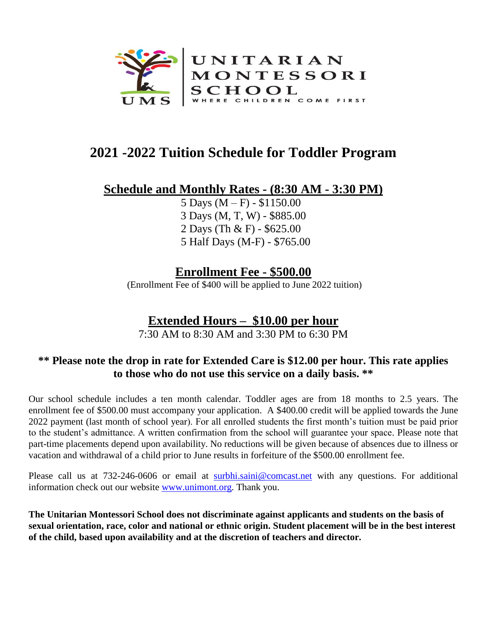

# **2021 -2022 Tuition Schedule for Toddler Program**

### **Schedule and Monthly Rates - (8:30 AM - 3:30 PM)**

5 Days  $(M - F) - $1150.00$ 3 Days (M, T, W) - \$885.00 2 Days (Th & F) - \$625.00 5 Half Days (M-F) - \$765.00

## **Enrollment Fee - \$500.00**

(Enrollment Fee of \$400 will be applied to June 2022 tuition)

## **Extended Hours – \$10.00 per hour**

7:30 AM to 8:30 AM and 3:30 PM to 6:30 PM

#### **\*\* Please note the drop in rate for Extended Care is \$12.00 per hour. This rate applies to those who do not use this service on a daily basis. \*\***

Our school schedule includes a ten month calendar. Toddler ages are from 18 months to 2.5 years. The enrollment fee of \$500.00 must accompany your application. A \$400.00 credit will be applied towards the June 2022 payment (last month of school year). For all enrolled students the first month's tuition must be paid prior to the student's admittance. A written confirmation from the school will guarantee your space. Please note that part-time placements depend upon availability. No reductions will be given because of absences due to illness or vacation and withdrawal of a child prior to June results in forfeiture of the \$500.00 enrollment fee.

Please call us at 732-246-0606 or email at [surbhi.saini@comcast.net](mailto:surbhi.saini@comcast.net) with any questions. For additional information check out our website [www.unimont.org.](http://www.unimont.org/) Thank you.

**The Unitarian Montessori School does not discriminate against applicants and students on the basis of sexual orientation, race, color and national or ethnic origin. Student placement will be in the best interest of the child, based upon availability and at the discretion of teachers and director.**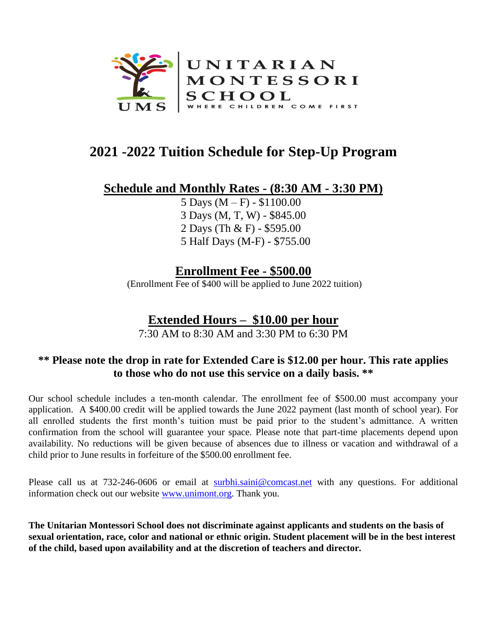

# **2021 -2022 Tuition Schedule for Step-Up Program**

#### **Schedule and Monthly Rates - (8:30 AM - 3:30 PM)**

5 Days  $(M - F) - $1100.00$ 3 Days (M, T, W) - \$845.00 2 Days (Th & F) - \$595.00 5 Half Days (M-F) - \$755.00

### **Enrollment Fee - \$500.00**

(Enrollment Fee of \$400 will be applied to June 2022 tuition)

## **Extended Hours – \$10.00 per hour**

7:30 AM to 8:30 AM and 3:30 PM to 6:30 PM

#### **\*\* Please note the drop in rate for Extended Care is \$12.00 per hour. This rate applies to those who do not use this service on a daily basis. \*\***

Our school schedule includes a ten-month calendar. The enrollment fee of \$500.00 must accompany your application. A \$400.00 credit will be applied towards the June 2022 payment (last month of school year). For all enrolled students the first month's tuition must be paid prior to the student's admittance. A written confirmation from the school will guarantee your space. Please note that part-time placements depend upon availability. No reductions will be given because of absences due to illness or vacation and withdrawal of a child prior to June results in forfeiture of the \$500.00 enrollment fee.

Please call us at 732-246-0606 or email at [surbhi.saini@comcast.net](mailto:surbhi.saini@comcast.net) with any questions. For additional information check out our website [www.unimont.org.](http://www.unimont.org/) Thank you.

**The Unitarian Montessori School does not discriminate against applicants and students on the basis of sexual orientation, race, color and national or ethnic origin. Student placement will be in the best interest of the child, based upon availability and at the discretion of teachers and director.**